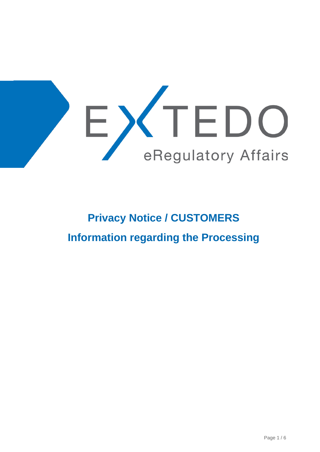

# **Privacy Notice / CUSTOMERS Information regarding the Processing**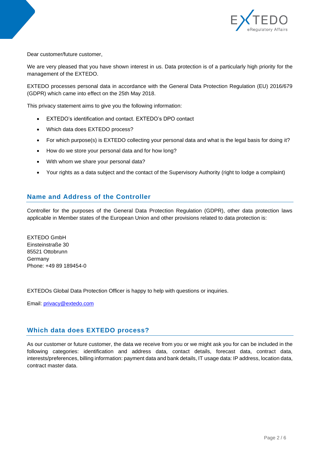

Dear customer/future customer,

We are very pleased that you have shown interest in us. Data protection is of a particularly high priority for the management of the EXTEDO.

EXTEDO processes personal data in accordance with the General Data Protection Regulation (EU) 2016/679 (GDPR) which came into effect on the 25th May 2018.

This privacy statement aims to give you the following information:

- EXTEDO's identification and contact. EXTEDO's DPO contact
- Which data does EXTEDO process?
- For which purpose(s) is EXTEDO collecting your personal data and what is the legal basis for doing it?
- How do we store your personal data and for how long?
- With whom we share your personal data?
- Your rights as a data subject and the contact of the Supervisory Authority (right to lodge a complaint)

### **Name and Address of the Controller**

Controller for the purposes of the General Data Protection Regulation (GDPR), other data protection laws applicable in Member states of the European Union and other provisions related to data protection is:

EXTEDO GmbH Einsteinstraße 30 85521 Ottobrunn Germany Phone: +49 89 189454-0

EXTEDOs Global Data Protection Officer is happy to help with questions or inquiries.

Email: [privacy@extedo.com](mailto:privacy@extedo.com)

### **Which data does EXTEDO process?**

As our customer or future customer, the data we receive from you or we might ask you for can be included in the following categories: identification and address data, contact details, forecast data, contract data, interests/preferences, billing information: payment data and bank details, IT usage data: IP address, location data, contract master data.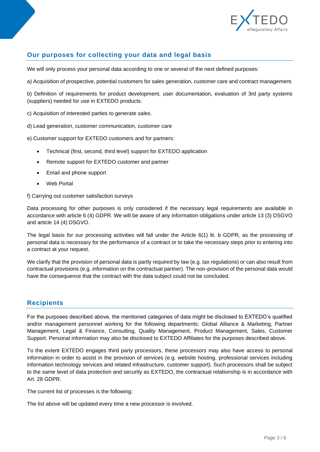

## **Our purposes for collecting your data and legal basis**

We will only process your personal data according to one or several of the next defined purposes:

a) Acquisition of prospective, potential customers for sales generation, customer care and contract management.

b) Definition of requirements for product development, user documentation, evaluation of 3rd party systems (suppliers) needed for use in EXTEDO products.

c) Acquisition of interested parties to generate sales.

d) Lead generation, customer communication, customer care

e) Customer support for EXTEDO customers and for partners:

- Technical (first, second, third level) support for EXTEDO application
- Remote support for EXTEDO customer and partner
- Email and phone support
- Web Portal

f) Carrying out customer satisfaction surveys

Data processing for other purposes is only considered if the necessary legal requirements are available in accordance with article 6 (4) GDPR. We will be aware of any information obligations under article 13 (3) DSGVO and article 14 (4) DSGVO.

The legal basis for our processing activities will fall under the Article 6(1) lit. b GDPR, as the processing of personal data is necessary for the performance of a contract or to take the necessary steps prior to entering into a contract at your request.

We clarify that the provision of personal data is partly required by law (e.g. tax regulations) or can also result from contractual provisions (e.g. information on the contractual partner). The non-provision of the personal data would have the consequence that the contract with the data subject could not be concluded.

### **Recipients**

For the purposes described above, the mentioned categories of data might be disclosed to EXTEDO's qualified and/or management personnel working for the following departments: Global Alliance & Marketing, Partner Management, Legal & Finance, Consulting, Quality Management, Product Management, Sales, Customer Support. Personal information may also be disclosed to EXTEDO Affiliates for the purposes described above.

To the extent EXTEDO engages third party processors, these processors may also have access to personal information in order to assist in the provision of services (e.g. website hosting, professional services including information technology services and related infrastructure, customer support). Such processors shall be subject to the same level of data protection and security as EXTEDO, the contractual relationship is in accordance with Art. 28 GDPR.

The current list of processes is the following:

The list above will be updated every time a new processor is involved.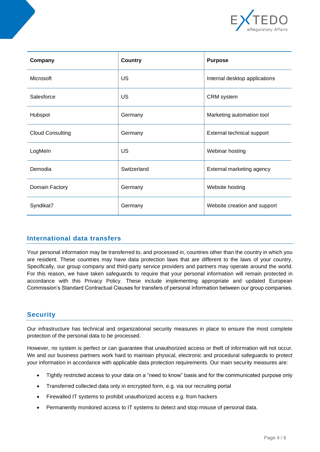

| Company                 | Country     | <b>Purpose</b>                |  |  |
|-------------------------|-------------|-------------------------------|--|--|
| Microsoft               | <b>US</b>   | Internal desktop applications |  |  |
| Salesforce              | US          | <b>CRM</b> system             |  |  |
| Hubspot                 | Germany     | Marketing automation tool     |  |  |
| <b>Cloud Consulting</b> | Germany     | External technical support    |  |  |
| LogMeln                 | US          | Webinar hosting               |  |  |
| Demodia                 | Switzerland | External marketing agency     |  |  |
| Domain Factory          | Germany     | Website hosting               |  |  |
| Syndikat7               | Germany     | Website creation and support  |  |  |

### **International data transfers**

Your personal information may be transferred to, and processed in, countries other than the country in which you are resident. These countries may have data protection laws that are different to the laws of your country. Specifically, our group company and third-party service providers and partners may operate around the world. For this reason, we have taken safeguards to require that your personal information will remain protected in accordance with this Privacy Policy. These include implementing appropriate and updated European Commission's Standard Contractual Clauses for transfers of personal information between our group companies.

### **Security**

Our infrastructure has technical and organizational security measures in place to ensure the most complete protection of the personal data to be processed.

However, no system is perfect or can guarantee that unauthorized access or theft of information will not occur. We and our business partners work hard to maintain physical, electronic and procedural safeguards to protect your information in accordance with applicable data protection requirements. Our main security measures are:

- Tightly restricted access to your data on a "need to know" basis and for the communicated purpose only
- Transferred collected data only in encrypted form, e.g. via our recruiting portal
- Firewalled IT systems to prohibit unauthorized access e.g. from hackers
- Permanently monitored access to IT systems to detect and stop misuse of personal data.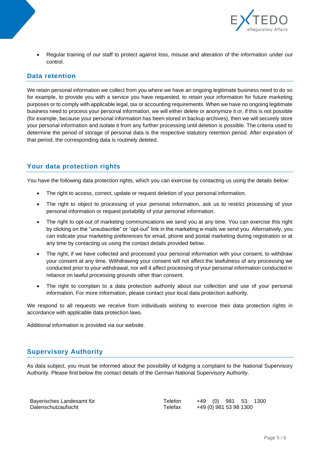

• Regular training of our staff to protect against loss, misuse and alteration of the information under our control.

#### **Data retention**

We retain personal information we collect from you where we have an ongoing legitimate business need to do so for example, to provide you with a service you have requested, to retain your information for future marketing purposes or to comply with applicable legal, tax or accounting requirements. When we have no ongoing legitimate business need to process your personal information, we will either delete or anonymize it or, if this is not possible (for example, because your personal information has been stored in backup archives), then we will securely store your personal information and isolate it from any further processing until deletion is possible. The criteria used to determine the period of storage of personal data is the respective statutory retention period. After expiration of that period, the corresponding data is routinely deleted.

## **Your data protection rights**

You have the following data protection rights, which you can exercise by contacting us using the details below:

- The right to access, correct, update or request deletion of your personal information.
- The right to object to processing of your personal information, ask us to restrict processing of your personal information or request portability of your personal information.
- The right to opt-out of marketing communications we send you at any time. You can exercise this right by clicking on the "unsubscribe" or "opt-out" link in the marketing e-mails we send you. Alternatively, you can indicate your marketing preferences for email, phone and postal marketing during registration or at any time by contacting us using the contact details provided below.
- The right, if we have collected and processed your personal information with your consent, to withdraw your consent at any time. Withdrawing your consent will not affect the lawfulness of any processing we conducted prior to your withdrawal, nor will it affect processing of your personal information conducted in reliance on lawful processing grounds other than consent.
- The right to complain to a data protection authority about our collection and use of your personal information. For more information, please contact your local data protection authority.

We respond to all requests we receive from individuals wishing to exercise their data protection rights in accordance with applicable data protection laws.

Additional information is provided via our website.

### **Supervisory Authority**

As data subject, you must be informed about the possibility of lodging a complaint to the National Supervisory Authority. Please find below the contact details of the German National Supervisory Authority.

| Bayerisches Landesamt für | Telefon | +49 (0) 981 53 1300 |                        |  |
|---------------------------|---------|---------------------|------------------------|--|
| Datenschutzaufsicht       | Telefax |                     | +49 (0) 981 53 98 1300 |  |